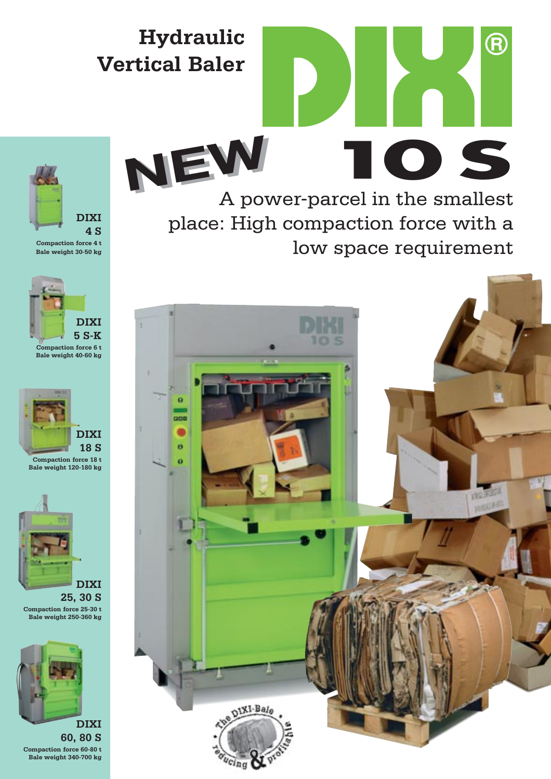## **Hydraulic Vertical Baler**

A power-parcel in the smallest place: High compaction force with a low space requirement **NEW NEW**

**10 S**

R)





**Compaction force 4 t Bale weight 30-50 kg** 



**Compaction force 6 t Bale weight 40-60 kg** 







**25, 30 S Compaction force 25-30 t Bale weight 250-360 kg** 



**60, 80 S Compaction force 60-80 t Bale weight 340-700 kg**